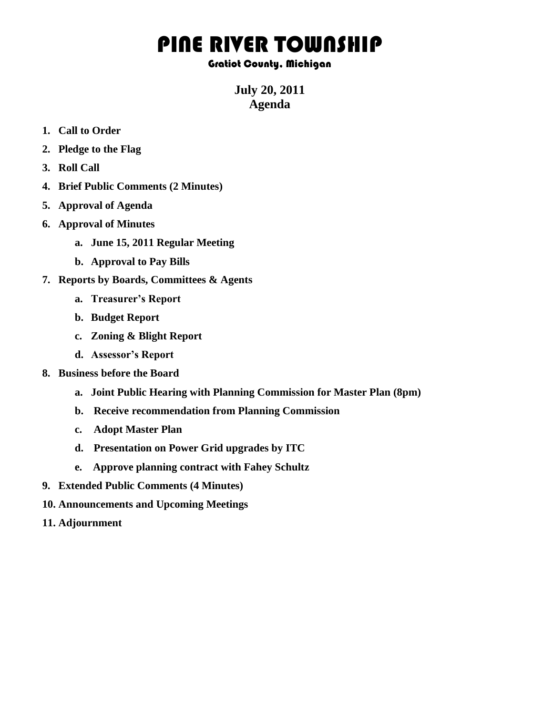## PINE RIVER TOWNSHIP

## Gratiot County, Michigan

**July 20, 2011 Agenda**

- **1. Call to Order**
- **2. Pledge to the Flag**
- **3. Roll Call**
- **4. Brief Public Comments (2 Minutes)**
- **5. Approval of Agenda**
- **6. Approval of Minutes**
	- **a. June 15, 2011 Regular Meeting**
	- **b. Approval to Pay Bills**
- **7. Reports by Boards, Committees & Agents**
	- **a. Treasurer's Report**
	- **b. Budget Report**
	- **c. Zoning & Blight Report**
	- **d. Assessor's Report**
- **8. Business before the Board**
	- **a. Joint Public Hearing with Planning Commission for Master Plan (8pm)**
	- **b. Receive recommendation from Planning Commission**
	- **c. Adopt Master Plan**
	- **d. Presentation on Power Grid upgrades by ITC**
	- **e. Approve planning contract with Fahey Schultz**
- **9. Extended Public Comments (4 Minutes)**
- **10. Announcements and Upcoming Meetings**
- **11. Adjournment**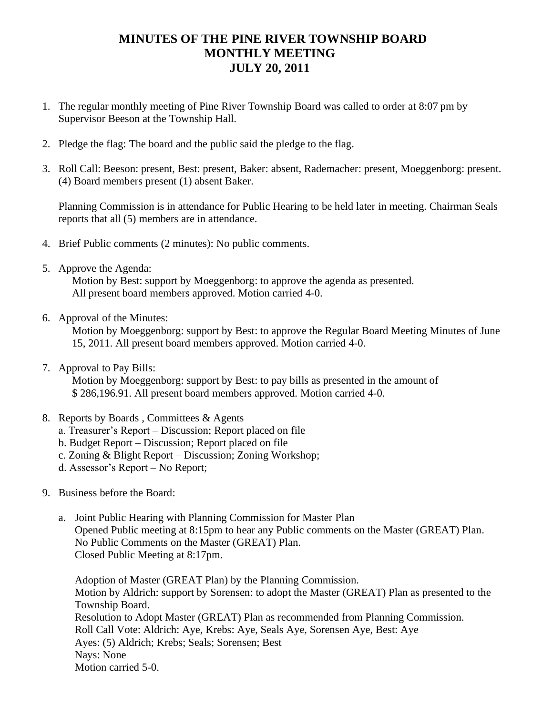## **MINUTES OF THE PINE RIVER TOWNSHIP BOARD MONTHLY MEETING JULY 20, 2011**

- 1. The regular monthly meeting of Pine River Township Board was called to order at 8:07 pm by Supervisor Beeson at the Township Hall.
- 2. Pledge the flag: The board and the public said the pledge to the flag.
- 3. Roll Call: Beeson: present, Best: present, Baker: absent, Rademacher: present, Moeggenborg: present. (4) Board members present (1) absent Baker.

Planning Commission is in attendance for Public Hearing to be held later in meeting. Chairman Seals reports that all (5) members are in attendance.

- 4. Brief Public comments (2 minutes): No public comments.
- 5. Approve the Agenda:

Motion by Best: support by Moeggenborg: to approve the agenda as presented. All present board members approved. Motion carried 4-0.

6. Approval of the Minutes:

Motion by Moeggenborg: support by Best: to approve the Regular Board Meeting Minutes of June 15, 2011. All present board members approved. Motion carried 4-0.

7. Approval to Pay Bills:

Motion by Moeggenborg: support by Best: to pay bills as presented in the amount of \$ 286,196.91. All present board members approved. Motion carried 4-0.

- 8. Reports by Boards , Committees & Agents
	- a. Treasurer's Report Discussion; Report placed on file
	- b. Budget Report Discussion; Report placed on file
	- c. Zoning & Blight Report Discussion; Zoning Workshop;
	- d. Assessor's Report No Report;
- 9. Business before the Board:
	- a. Joint Public Hearing with Planning Commission for Master Plan Opened Public meeting at 8:15pm to hear any Public comments on the Master (GREAT) Plan. No Public Comments on the Master (GREAT) Plan. Closed Public Meeting at 8:17pm.

Adoption of Master (GREAT Plan) by the Planning Commission. Motion by Aldrich: support by Sorensen: to adopt the Master (GREAT) Plan as presented to the Township Board. Resolution to Adopt Master (GREAT) Plan as recommended from Planning Commission. Roll Call Vote: Aldrich: Aye, Krebs: Aye, Seals Aye, Sorensen Aye, Best: Aye Ayes: (5) Aldrich; Krebs; Seals; Sorensen; Best Nays: None Motion carried 5-0.